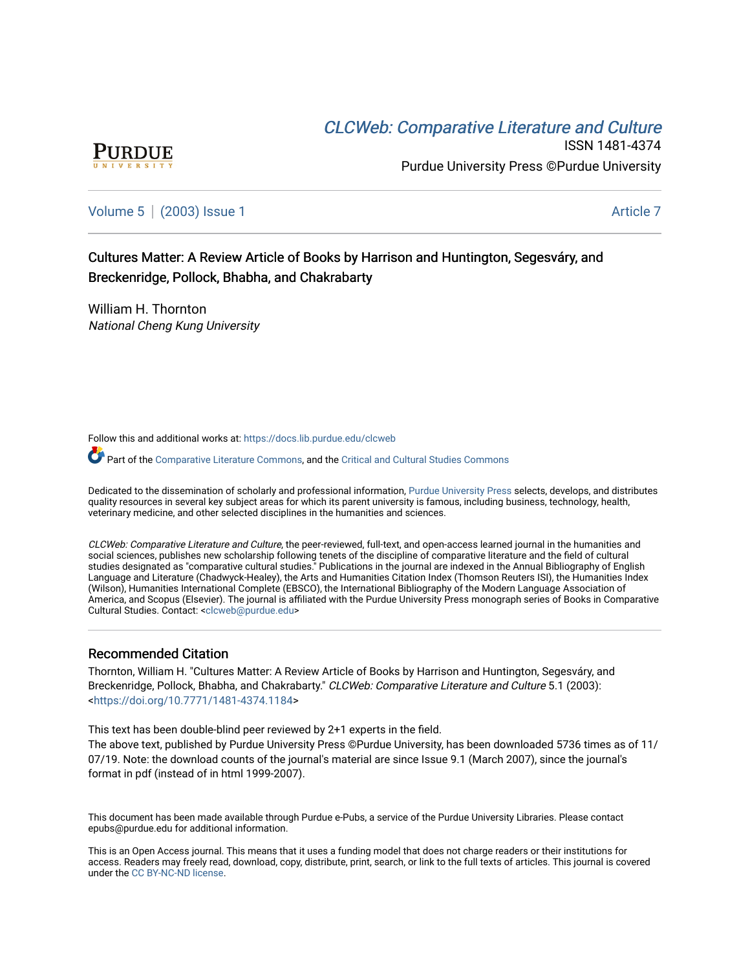# CLCW[eb: Comparative Liter](https://docs.lib.purdue.edu/clcweb)ature and Culture



ISSN 1481-4374 Purdue University Press ©Purdue University

[Volume 5](https://docs.lib.purdue.edu/clcweb/vol5) | [\(2003\) Issue 1](https://docs.lib.purdue.edu/clcweb/vol5/iss1) Article 7

Cultures Matter: A Review Article of Books by Harrison and Huntington, Segesváry, and Breckenridge, Pollock, Bhabha, and Chakrabarty

William H. Thornton National Cheng Kung University

Follow this and additional works at: [https://docs.lib.purdue.edu/clcweb](https://docs.lib.purdue.edu/clcweb?utm_source=docs.lib.purdue.edu%2Fclcweb%2Fvol5%2Fiss1%2F7&utm_medium=PDF&utm_campaign=PDFCoverPages)

Part of the [Comparative Literature Commons,](http://network.bepress.com/hgg/discipline/454?utm_source=docs.lib.purdue.edu%2Fclcweb%2Fvol5%2Fiss1%2F7&utm_medium=PDF&utm_campaign=PDFCoverPages) and the [Critical and Cultural Studies Commons](http://network.bepress.com/hgg/discipline/328?utm_source=docs.lib.purdue.edu%2Fclcweb%2Fvol5%2Fiss1%2F7&utm_medium=PDF&utm_campaign=PDFCoverPages) 

Dedicated to the dissemination of scholarly and professional information, [Purdue University Press](http://www.thepress.purdue.edu/) selects, develops, and distributes quality resources in several key subject areas for which its parent university is famous, including business, technology, health, veterinary medicine, and other selected disciplines in the humanities and sciences.

CLCWeb: Comparative Literature and Culture, the peer-reviewed, full-text, and open-access learned journal in the humanities and social sciences, publishes new scholarship following tenets of the discipline of comparative literature and the field of cultural studies designated as "comparative cultural studies." Publications in the journal are indexed in the Annual Bibliography of English Language and Literature (Chadwyck-Healey), the Arts and Humanities Citation Index (Thomson Reuters ISI), the Humanities Index (Wilson), Humanities International Complete (EBSCO), the International Bibliography of the Modern Language Association of America, and Scopus (Elsevier). The journal is affiliated with the Purdue University Press monograph series of Books in Comparative Cultural Studies. Contact: [<clcweb@purdue.edu](mailto:clcweb@purdue.edu)>

## Recommended Citation

Thornton, William H. "Cultures Matter: A Review Article of Books by Harrison and Huntington, Segesváry, and Breckenridge, Pollock, Bhabha, and Chakrabarty." CLCWeb: Comparative Literature and Culture 5.1 (2003): <<https://doi.org/10.7771/1481-4374.1184>>

This text has been double-blind peer reviewed by 2+1 experts in the field.

The above text, published by Purdue University Press ©Purdue University, has been downloaded 5736 times as of 11/ 07/19. Note: the download counts of the journal's material are since Issue 9.1 (March 2007), since the journal's format in pdf (instead of in html 1999-2007).

This document has been made available through Purdue e-Pubs, a service of the Purdue University Libraries. Please contact epubs@purdue.edu for additional information.

This is an Open Access journal. This means that it uses a funding model that does not charge readers or their institutions for access. Readers may freely read, download, copy, distribute, print, search, or link to the full texts of articles. This journal is covered under the [CC BY-NC-ND license.](https://creativecommons.org/licenses/by-nc-nd/4.0/)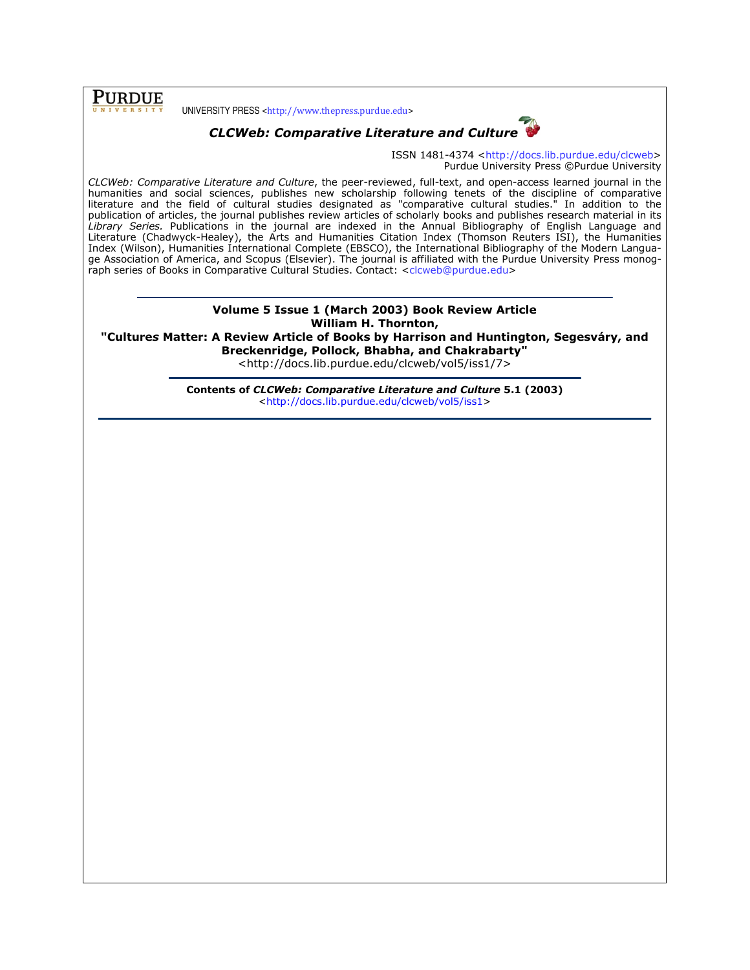PURDUE

UNIVERSITY PRESS <http://www.thepress.purdue.edu>



CLCWeb: Comparative Literature and Culture

ISSN 1481-4374 <http://docs.lib.purdue.edu/clcweb> Purdue University Press ©Purdue University

CLCWeb: Comparative Literature and Culture, the peer-reviewed, full-text, and open-access learned journal in the humanities and social sciences, publishes new scholarship following tenets of the discipline of comparative literature and the field of cultural studies designated as "comparative cultural studies." In addition to the publication of articles, the journal publishes review articles of scholarly books and publishes research material in its Library Series. Publications in the journal are indexed in the Annual Bibliography of English Language and Literature (Chadwyck-Healey), the Arts and Humanities Citation Index (Thomson Reuters ISI), the Humanities Index (Wilson), Humanities International Complete (EBSCO), the International Bibliography of the Modern Language Association of America, and Scopus (Elsevier). The journal is affiliated with the Purdue University Press monograph series of Books in Comparative Cultural Studies. Contact: <clcweb@purdue.edu>

#### Volume 5 Issue 1 (March 2003) Book Review Article William H. Thornton,

"Cultures Matter: A Review Article of Books by Harrison and Huntington, Segesváry, and Breckenridge, Pollock, Bhabha, and Chakrabarty"

<http://docs.lib.purdue.edu/clcweb/vol5/iss1/7>

Contents of CLCWeb: Comparative Literature and Culture 5.1 (2003) <http://docs.lib.purdue.edu/clcweb/vol5/iss1>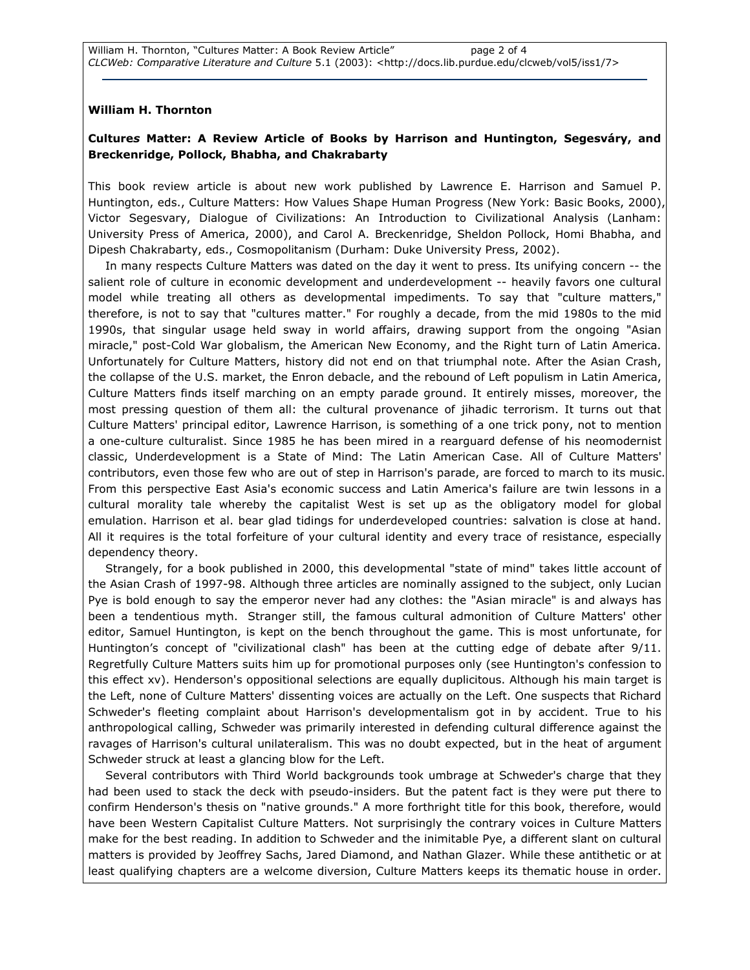### William H. Thornton

## Cultures Matter: A Review Article of Books by Harrison and Huntington, Segesváry, and Breckenridge, Pollock, Bhabha, and Chakrabarty

This book review article is about new work published by Lawrence E. Harrison and Samuel P. Huntington, eds., Culture Matters: How Values Shape Human Progress (New York: Basic Books, 2000), Victor Segesvary, Dialogue of Civilizations: An Introduction to Civilizational Analysis (Lanham: University Press of America, 2000), and Carol A. Breckenridge, Sheldon Pollock, Homi Bhabha, and Dipesh Chakrabarty, eds., Cosmopolitanism (Durham: Duke University Press, 2002).

 In many respects Culture Matters was dated on the day it went to press. Its unifying concern -- the salient role of culture in economic development and underdevelopment -- heavily favors one cultural model while treating all others as developmental impediments. To say that "culture matters," therefore, is not to say that "cultures matter." For roughly a decade, from the mid 1980s to the mid 1990s, that singular usage held sway in world affairs, drawing support from the ongoing "Asian miracle," post-Cold War globalism, the American New Economy, and the Right turn of Latin America. Unfortunately for Culture Matters, history did not end on that triumphal note. After the Asian Crash, the collapse of the U.S. market, the Enron debacle, and the rebound of Left populism in Latin America, Culture Matters finds itself marching on an empty parade ground. It entirely misses, moreover, the most pressing question of them all: the cultural provenance of jihadic terrorism. It turns out that Culture Matters' principal editor, Lawrence Harrison, is something of a one trick pony, not to mention a one-culture culturalist. Since 1985 he has been mired in a rearguard defense of his neomodernist classic, Underdevelopment is a State of Mind: The Latin American Case. All of Culture Matters' contributors, even those few who are out of step in Harrison's parade, are forced to march to its music. From this perspective East Asia's economic success and Latin America's failure are twin lessons in a cultural morality tale whereby the capitalist West is set up as the obligatory model for global emulation. Harrison et al. bear glad tidings for underdeveloped countries: salvation is close at hand. All it requires is the total forfeiture of your cultural identity and every trace of resistance, especially dependency theory.

 Strangely, for a book published in 2000, this developmental "state of mind" takes little account of the Asian Crash of 1997-98. Although three articles are nominally assigned to the subject, only Lucian Pye is bold enough to say the emperor never had any clothes: the "Asian miracle" is and always has been a tendentious myth. Stranger still, the famous cultural admonition of Culture Matters' other editor, Samuel Huntington, is kept on the bench throughout the game. This is most unfortunate, for Huntington's concept of "civilizational clash" has been at the cutting edge of debate after 9/11. Regretfully Culture Matters suits him up for promotional purposes only (see Huntington's confession to this effect xv). Henderson's oppositional selections are equally duplicitous. Although his main target is the Left, none of Culture Matters' dissenting voices are actually on the Left. One suspects that Richard Schweder's fleeting complaint about Harrison's developmentalism got in by accident. True to his anthropological calling, Schweder was primarily interested in defending cultural difference against the ravages of Harrison's cultural unilateralism. This was no doubt expected, but in the heat of argument Schweder struck at least a glancing blow for the Left.

 Several contributors with Third World backgrounds took umbrage at Schweder's charge that they had been used to stack the deck with pseudo-insiders. But the patent fact is they were put there to confirm Henderson's thesis on "native grounds." A more forthright title for this book, therefore, would have been Western Capitalist Culture Matters. Not surprisingly the contrary voices in Culture Matters make for the best reading. In addition to Schweder and the inimitable Pye, a different slant on cultural matters is provided by Jeoffrey Sachs, Jared Diamond, and Nathan Glazer. While these antithetic or at least qualifying chapters are a welcome diversion, Culture Matters keeps its thematic house in order.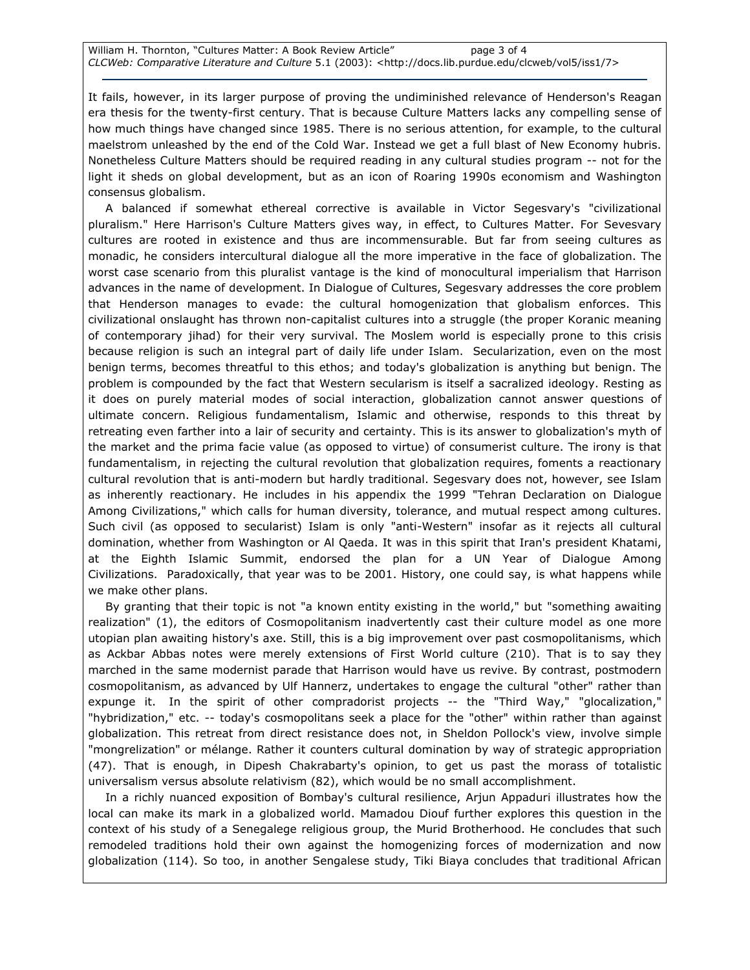It fails, however, in its larger purpose of proving the undiminished relevance of Henderson's Reagan era thesis for the twenty-first century. That is because Culture Matters lacks any compelling sense of how much things have changed since 1985. There is no serious attention, for example, to the cultural maelstrom unleashed by the end of the Cold War. Instead we get a full blast of New Economy hubris. Nonetheless Culture Matters should be required reading in any cultural studies program -- not for the light it sheds on global development, but as an icon of Roaring 1990s economism and Washington consensus globalism.

 A balanced if somewhat ethereal corrective is available in Victor Segesvary's "civilizational pluralism." Here Harrison's Culture Matters gives way, in effect, to Cultures Matter. For Sevesvary cultures are rooted in existence and thus are incommensurable. But far from seeing cultures as monadic, he considers intercultural dialogue all the more imperative in the face of globalization. The worst case scenario from this pluralist vantage is the kind of monocultural imperialism that Harrison advances in the name of development. In Dialogue of Cultures, Segesvary addresses the core problem that Henderson manages to evade: the cultural homogenization that globalism enforces. This civilizational onslaught has thrown non-capitalist cultures into a struggle (the proper Koranic meaning of contemporary jihad) for their very survival. The Moslem world is especially prone to this crisis because religion is such an integral part of daily life under Islam. Secularization, even on the most benign terms, becomes threatful to this ethos; and today's globalization is anything but benign. The problem is compounded by the fact that Western secularism is itself a sacralized ideology. Resting as it does on purely material modes of social interaction, globalization cannot answer questions of ultimate concern. Religious fundamentalism, Islamic and otherwise, responds to this threat by retreating even farther into a lair of security and certainty. This is its answer to globalization's myth of the market and the prima facie value (as opposed to virtue) of consumerist culture. The irony is that fundamentalism, in rejecting the cultural revolution that globalization requires, foments a reactionary cultural revolution that is anti-modern but hardly traditional. Segesvary does not, however, see Islam as inherently reactionary. He includes in his appendix the 1999 "Tehran Declaration on Dialogue Among Civilizations," which calls for human diversity, tolerance, and mutual respect among cultures. Such civil (as opposed to secularist) Islam is only "anti-Western" insofar as it rejects all cultural domination, whether from Washington or Al Qaeda. It was in this spirit that Iran's president Khatami, at the Eighth Islamic Summit, endorsed the plan for a UN Year of Dialogue Among Civilizations. Paradoxically, that year was to be 2001. History, one could say, is what happens while we make other plans.

 By granting that their topic is not "a known entity existing in the world," but "something awaiting realization" (1), the editors of Cosmopolitanism inadvertently cast their culture model as one more utopian plan awaiting history's axe. Still, this is a big improvement over past cosmopolitanisms, which as Ackbar Abbas notes were merely extensions of First World culture (210). That is to say they marched in the same modernist parade that Harrison would have us revive. By contrast, postmodern cosmopolitanism, as advanced by Ulf Hannerz, undertakes to engage the cultural "other" rather than expunge it. In the spirit of other compradorist projects -- the "Third Way," "glocalization," "hybridization," etc. -- today's cosmopolitans seek a place for the "other" within rather than against globalization. This retreat from direct resistance does not, in Sheldon Pollock's view, involve simple "mongrelization" or mélange. Rather it counters cultural domination by way of strategic appropriation (47). That is enough, in Dipesh Chakrabarty's opinion, to get us past the morass of totalistic universalism versus absolute relativism (82), which would be no small accomplishment.

 In a richly nuanced exposition of Bombay's cultural resilience, Arjun Appaduri illustrates how the local can make its mark in a globalized world. Mamadou Diouf further explores this question in the context of his study of a Senegalege religious group, the Murid Brotherhood. He concludes that such remodeled traditions hold their own against the homogenizing forces of modernization and now globalization (114). So too, in another Sengalese study, Tiki Biaya concludes that traditional African